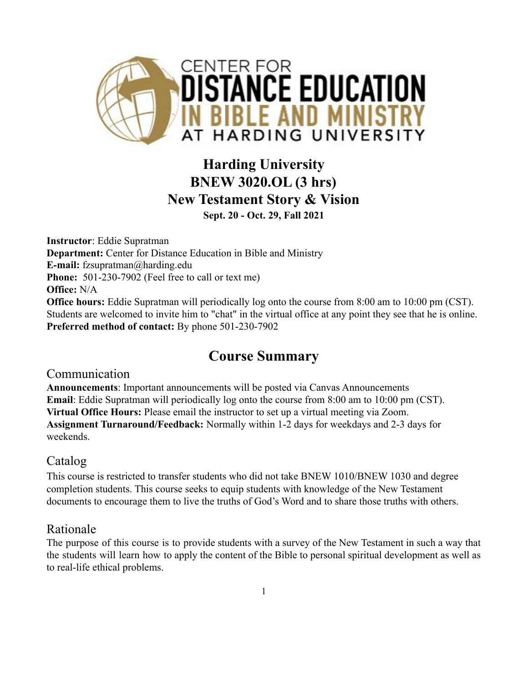

# **Harding University BNEW 3020.OL (3 hrs) New Testament Story & Vision Sept. 20 - Oct. 29, Fall 2021**

**Instructor**: Eddie Supratman **Department:** Center for Distance Education in Bible and Ministry **E-mail:** fzsupratman@harding.edu **Phone:** 501-230-7902 (Feel free to call or text me) **Office:** N/A **Office hours:** Eddie Supratman will periodically log onto the course from 8:00 am to 10:00 pm (CST). Students are welcomed to invite him to "chat" in the virtual office at any point they see that he is online. **Preferred method of contact:** By phone 501-230-7902

# **Course Summary**

### Communication

**Announcements**: Important announcements will be posted via Canvas Announcements **Email**: Eddie Supratman will periodically log onto the course from 8:00 am to 10:00 pm (CST). **Virtual Office Hours:** Please email the instructor to set up a virtual meeting via Zoom. **Assignment Turnaround/Feedback:** Normally within 1-2 days for weekdays and 2-3 days for weekends.

### Catalog

This course is restricted to transfer students who did not take BNEW 1010/BNEW 1030 and degree completion students. This course seeks to equip students with knowledge of the New Testament documents to encourage them to live the truths of God's Word and to share those truths with others.

#### Rationale

The purpose of this course is to provide students with a survey of the New Testament in such a way that the students will learn how to apply the content of the Bible to personal spiritual development as well as to real-life ethical problems.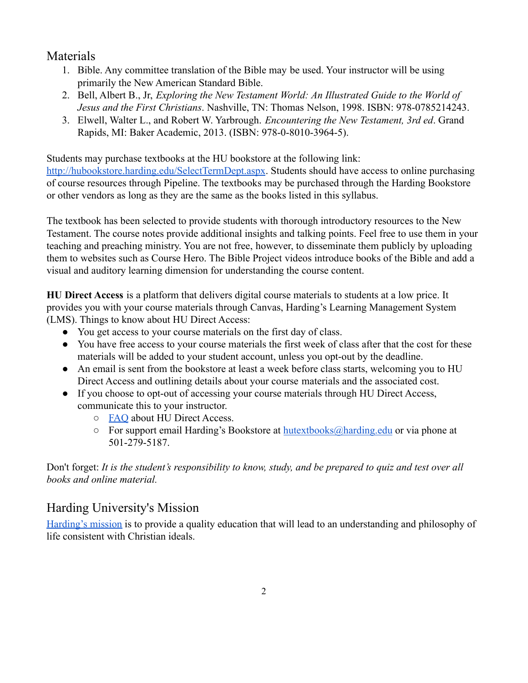### Materials

- 1. Bible. Any committee translation of the Bible may be used. Your instructor will be using primarily the New American Standard Bible.
- 2. Bell, Albert B., Jr, *Exploring the New Testament World: An Illustrated Guide to the World of Jesus and the First Christians*. Nashville, TN: Thomas Nelson, 1998. ISBN: 978-0785214243.
- 3. Elwell, Walter L., and Robert W. Yarbrough. *Encountering the New Testament, 3rd ed*. Grand Rapids, MI: Baker Academic, 2013. (ISBN: 978-0-8010-3964-5).

Students may purchase textbooks at the HU bookstore at the following link:

[http://hubookstore.harding.edu/SelectTermDept.aspx.](http://hubookstore.harding.edu/SelectTermDept.aspx) Students should have access to online purchasing of course resources through Pipeline. The textbooks may be purchased through the Harding Bookstore or other vendors as long as they are the same as the books listed in this syllabus.

The textbook has been selected to provide students with thorough introductory resources to the New Testament. The course notes provide additional insights and talking points. Feel free to use them in your teaching and preaching ministry. You are not free, however, to disseminate them publicly by uploading them to websites such as Course Hero. The Bible Project videos introduce books of the Bible and add a visual and auditory learning dimension for understanding the course content.

**HU Direct Access** is a platform that delivers digital course materials to students at a low price. It provides you with your course materials through Canvas, Harding's Learning Management System (LMS). Things to know about HU Direct Access:

- You get access to your course materials on the first day of class.
- You have free access to your course materials the first week of class after that the cost for these materials will be added to your student account, unless you opt-out by the deadline.
- An email is sent from the bookstore at least a week before class starts, welcoming you to HU Direct Access and outlining details about your course materials and the associated cost.
- If you choose to opt-out of accessing your course materials through HU Direct Access, communicate this to your instructor.
	- [FAQ](https://drive.google.com/file/d/1hPrNJgpgHCyjLotWhfGvKBU8P4VdTFB8/view?usp=sharing) about HU Direct Access.
	- For support email Harding's Bookstore at [hutextbooks@harding.edu](mailto:hutextbooks@harding.edu) or via phone at 501-279-5187.

Don't forget: *It is the student's responsibility to know, study, and be prepared to quiz and test over all books and online material.*

# Harding University's Mission

[Harding's mission](https://www.harding.edu/about/mission) is to provide a quality education that will lead to an understanding and philosophy of life consistent with Christian ideals.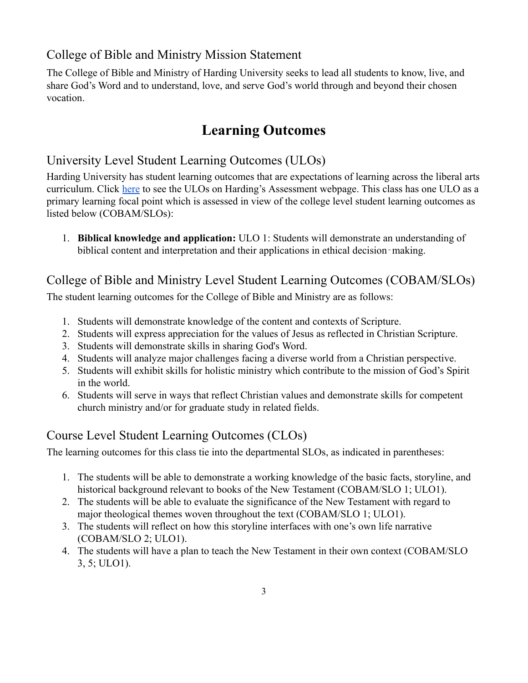## College of Bible and Ministry Mission Statement

The College of Bible and Ministry of Harding University seeks to lead all students to know, live, and share God's Word and to understand, love, and serve God's world through and beyond their chosen vocation.

# **Learning Outcomes**

## University Level Student Learning Outcomes (ULOs)

Harding University has student learning outcomes that are expectations of learning across the liberal arts curriculum. Click [here](https://www.harding.edu/provost/assessment) to see the ULOs on Harding's Assessment webpage. This class has one ULO as a primary learning focal point which is assessed in view of the college level student learning outcomes as listed below (COBAM/SLOs):

1. **Biblical knowledge and application:** ULO 1: Students will demonstrate an understanding of biblical content and interpretation and their applications in ethical decision-making.

## College of Bible and Ministry Level Student Learning Outcomes (COBAM/SLOs)

The student learning outcomes for the College of Bible and Ministry are as follows:

- 1. Students will demonstrate knowledge of the content and contexts of Scripture.
- 2. Students will express appreciation for the values of Jesus as reflected in Christian Scripture.
- 3. Students will demonstrate skills in sharing God's Word.
- 4. Students will analyze major challenges facing a diverse world from a Christian perspective.
- 5. Students will exhibit skills for holistic ministry which contribute to the mission of God's Spirit in the world.
- 6. Students will serve in ways that reflect Christian values and demonstrate skills for competent church ministry and/or for graduate study in related fields.

# Course Level Student Learning Outcomes (CLOs)

The learning outcomes for this class tie into the departmental SLOs, as indicated in parentheses:

- 1. The students will be able to demonstrate a working knowledge of the basic facts, storyline, and historical background relevant to books of the New Testament (COBAM/SLO 1; ULO1).
- 2. The students will be able to evaluate the significance of the New Testament with regard to major theological themes woven throughout the text (COBAM/SLO 1; ULO1).
- 3. The students will reflect on how this storyline interfaces with one's own life narrative (COBAM/SLO 2; ULO1).
- 4. The students will have a plan to teach the New Testament in their own context (COBAM/SLO 3, 5; ULO1).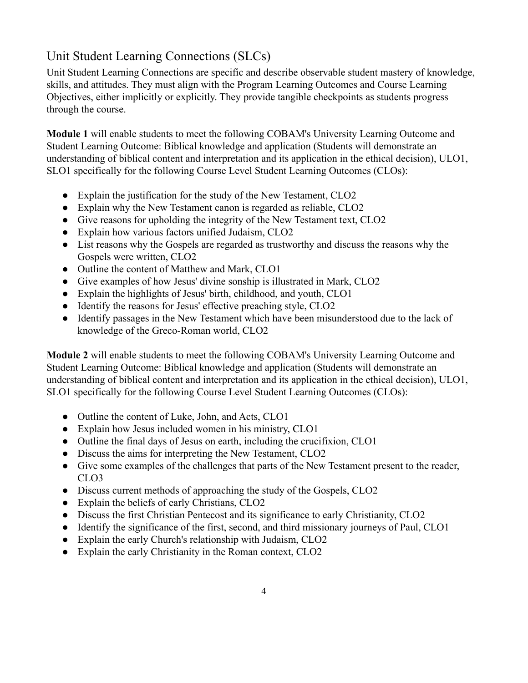# Unit Student Learning Connections (SLCs)

Unit Student Learning Connections are specific and describe observable student mastery of knowledge, skills, and attitudes. They must align with the Program Learning Outcomes and Course Learning Objectives, either implicitly or explicitly. They provide tangible checkpoints as students progress through the course.

**Module 1** will enable students to meet the following COBAM's University Learning Outcome and Student Learning Outcome: Biblical knowledge and application (Students will demonstrate an understanding of biblical content and interpretation and its application in the ethical decision), ULO1, SLO1 specifically for the following Course Level Student Learning Outcomes (CLOs):

- Explain the justification for the study of the New Testament, CLO2
- Explain why the New Testament canon is regarded as reliable, CLO2
- Give reasons for upholding the integrity of the New Testament text, CLO2
- Explain how various factors unified Judaism, CLO2
- List reasons why the Gospels are regarded as trustworthy and discuss the reasons why the Gospels were written, CLO2
- Outline the content of Matthew and Mark, CLO1
- Give examples of how Jesus' divine sonship is illustrated in Mark, CLO2
- Explain the highlights of Jesus' birth, childhood, and youth, CLO1
- Identify the reasons for Jesus' effective preaching style, CLO2
- Identify passages in the New Testament which have been misunderstood due to the lack of knowledge of the Greco-Roman world, CLO2

**Module 2** will enable students to meet the following COBAM's University Learning Outcome and Student Learning Outcome: Biblical knowledge and application (Students will demonstrate an understanding of biblical content and interpretation and its application in the ethical decision), ULO1, SLO1 specifically for the following Course Level Student Learning Outcomes (CLOs):

- Outline the content of Luke, John, and Acts, CLO1
- Explain how Jesus included women in his ministry, CLO1
- Outline the final days of Jesus on earth, including the crucifixion, CLO1
- Discuss the aims for interpreting the New Testament, CLO2
- Give some examples of the challenges that parts of the New Testament present to the reader, CLO3
- Discuss current methods of approaching the study of the Gospels, CLO2
- Explain the beliefs of early Christians, CLO2
- Discuss the first Christian Pentecost and its significance to early Christianity, CLO2
- Identify the significance of the first, second, and third missionary journeys of Paul, CLO1
- Explain the early Church's relationship with Judaism, CLO2
- Explain the early Christianity in the Roman context, CLO2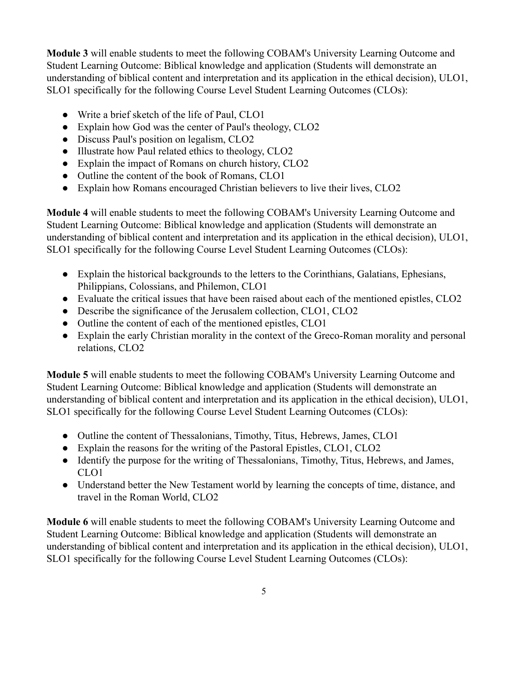**Module 3** will enable students to meet the following COBAM's University Learning Outcome and Student Learning Outcome: Biblical knowledge and application (Students will demonstrate an understanding of biblical content and interpretation and its application in the ethical decision), ULO1, SLO1 specifically for the following Course Level Student Learning Outcomes (CLOs):

- Write a brief sketch of the life of Paul, CLO1
- Explain how God was the center of Paul's theology, CLO2
- Discuss Paul's position on legalism, CLO2
- Illustrate how Paul related ethics to theology, CLO2
- Explain the impact of Romans on church history, CLO2
- Outline the content of the book of Romans, CLO1
- Explain how Romans encouraged Christian believers to live their lives, CLO2

**Module 4** will enable students to meet the following COBAM's University Learning Outcome and Student Learning Outcome: Biblical knowledge and application (Students will demonstrate an understanding of biblical content and interpretation and its application in the ethical decision), ULO1, SLO1 specifically for the following Course Level Student Learning Outcomes (CLOs):

- Explain the historical backgrounds to the letters to the Corinthians, Galatians, Ephesians, Philippians, Colossians, and Philemon, CLO1
- Evaluate the critical issues that have been raised about each of the mentioned epistles, CLO2
- Describe the significance of the Jerusalem collection, CLO1, CLO2
- Outline the content of each of the mentioned epistles, CLO1
- **●** Explain the early Christian morality in the context of the Greco-Roman morality and personal relations, CLO2

**Module 5** will enable students to meet the following COBAM's University Learning Outcome and Student Learning Outcome: Biblical knowledge and application (Students will demonstrate an understanding of biblical content and interpretation and its application in the ethical decision), ULO1, SLO1 specifically for the following Course Level Student Learning Outcomes (CLOs):

- Outline the content of Thessalonians, Timothy, Titus, Hebrews, James, CLO1
- Explain the reasons for the writing of the Pastoral Epistles, CLO1, CLO2
- Identify the purpose for the writing of Thessalonians, Timothy, Titus, Hebrews, and James, CLO1
- Understand better the New Testament world by learning the concepts of time, distance, and travel in the Roman World, CLO2

**Module 6** will enable students to meet the following COBAM's University Learning Outcome and Student Learning Outcome: Biblical knowledge and application (Students will demonstrate an understanding of biblical content and interpretation and its application in the ethical decision), ULO1, SLO1 specifically for the following Course Level Student Learning Outcomes (CLOs):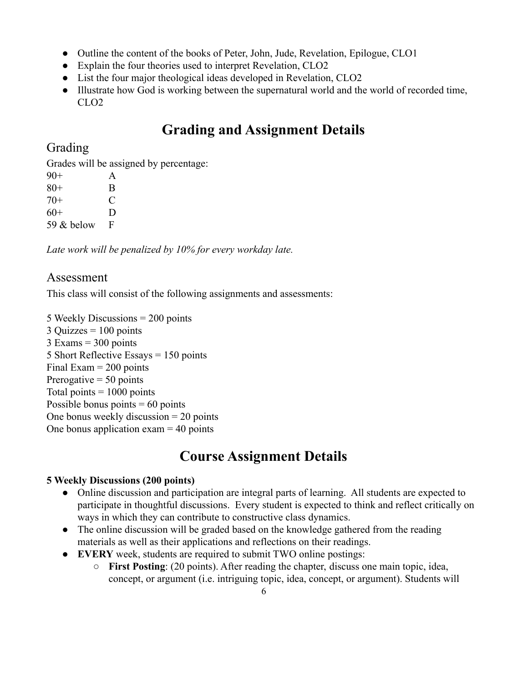- Outline the content of the books of Peter, John, Jude, Revelation, Epilogue, CLO1
- Explain the four theories used to interpret Revelation, CLO2
- List the four major theological ideas developed in Revelation, CLO2
- Illustrate how God is working between the supernatural world and the world of recorded time,  $CLO2$

# **Grading and Assignment Details**

### Grading

Grades will be assigned by percentage:

| $90+$      | A |
|------------|---|
| $80+$      | B |
| $70+$      | C |
| $60+$      | D |
| 59 & below | F |

*Late work will be penalized by 10% for every workday late.*

### Assessment

This class will consist of the following assignments and assessments:

5 Weekly Discussions = 200 points  $3$  Ouizzes = 100 points  $3$  Exams = 300 points 5 Short Reflective Essays = 150 points Final Exam  $= 200$  points Prerogative  $= 50$  points Total points  $= 1000$  points Possible bonus points  $= 60$  points One bonus weekly discussion = 20 points One bonus application  $exam = 40$  points

# **Course Assignment Details**

#### **5 Weekly Discussions (200 points)**

- Online discussion and participation are integral parts of learning. All students are expected to participate in thoughtful discussions. Every student is expected to think and reflect critically on ways in which they can contribute to constructive class dynamics.
- The online discussion will be graded based on the knowledge gathered from the reading materials as well as their applications and reflections on their readings.
- **EVERY** week, students are required to submit TWO online postings:
	- **First Posting**: (20 points). After reading the chapter, discuss one main topic, idea, concept, or argument (i.e. intriguing topic, idea, concept, or argument). Students will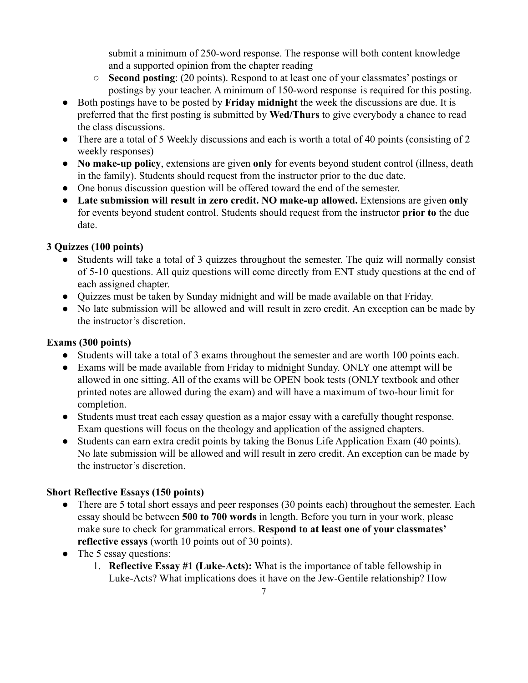submit a minimum of 250-word response. The response will both content knowledge and a supported opinion from the chapter reading

- **Second posting**: (20 points). Respond to at least one of your classmates' postings or postings by your teacher. A minimum of 150-word response is required for this posting.
- Both postings have to be posted by **Friday midnight** the week the discussions are due. It is preferred that the first posting is submitted by **Wed/Thurs** to give everybody a chance to read the class discussions.
- There are a total of 5 Weekly discussions and each is worth a total of 40 points (consisting of 2 weekly responses)
- **No make-up policy**, extensions are given **only** for events beyond student control (illness, death in the family). Students should request from the instructor prior to the due date.
- One bonus discussion question will be offered toward the end of the semester.
- **Late submission will result in zero credit. NO make-up allowed.** Extensions are given **only** for events beyond student control. Students should request from the instructor **prior to** the due date.

#### **3 Quizzes (100 points)**

- Students will take a total of 3 quizzes throughout the semester. The quiz will normally consist of 5-10 questions. All quiz questions will come directly from ENT study questions at the end of each assigned chapter.
- Quizzes must be taken by Sunday midnight and will be made available on that Friday.
- **●** No late submission will be allowed and will result in zero credit. An exception can be made by the instructor's discretion.

#### **Exams (300 points)**

- Students will take a total of 3 exams throughout the semester and are worth 100 points each.
- Exams will be made available from Friday to midnight Sunday. ONLY one attempt will be allowed in one sitting. All of the exams will be OPEN book tests (ONLY textbook and other printed notes are allowed during the exam) and will have a maximum of two-hour limit for completion.
- Students must treat each essay question as a major essay with a carefully thought response. Exam questions will focus on the theology and application of the assigned chapters.
- Students can earn extra credit points by taking the Bonus Life Application Exam (40 points). No late submission will be allowed and will result in zero credit. An exception can be made by the instructor's discretion.

#### **Short Reflective Essays (150 points)**

- There are 5 total short essays and peer responses (30 points each) throughout the semester. Each essay should be between **500 to 700 words** in length. Before you turn in your work, please make sure to check for grammatical errors. **Respond to at least one of your classmates' reflective essays** (worth 10 points out of 30 points).
- The 5 essay questions:
	- 1. **Reflective Essay #1 (Luke-Acts):** What is the importance of table fellowship in Luke-Acts? What implications does it have on the Jew-Gentile relationship? How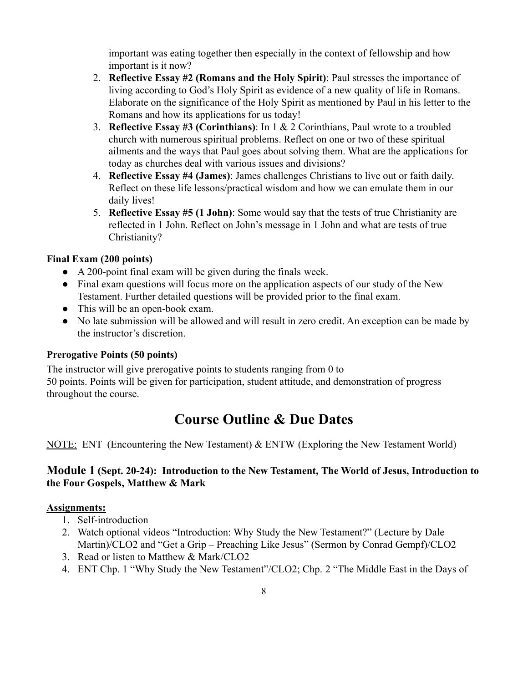important was eating together then especially in the context of fellowship and how important is it now?

- 2. **Reflective Essay #2 (Romans and the Holy Spirit)**: Paul stresses the importance of living according to God's Holy Spirit as evidence of a new quality of life in Romans. Elaborate on the significance of the Holy Spirit as mentioned by Paul in his letter to the Romans and how its applications for us today!
- 3. **Reflective Essay #3 (Corinthians)**: In 1 & 2 Corinthians, Paul wrote to a troubled church with numerous spiritual problems. Reflect on one or two of these spiritual ailments and the ways that Paul goes about solving them. What are the applications for today as churches deal with various issues and divisions?
- 4. **Reflective Essay #4 (James)**: James challenges Christians to live out or faith daily. Reflect on these life lessons/practical wisdom and how we can emulate them in our daily lives!
- 5. **Reflective Essay #5 (1 John)**: Some would say that the tests of true Christianity are reflected in 1 John. Reflect on John's message in 1 John and what are tests of true Christianity?

#### **Final Exam (200 points)**

- A 200-point final exam will be given during the finals week.
- Final exam questions will focus more on the application aspects of our study of the New Testament. Further detailed questions will be provided prior to the final exam.
- This will be an open-book exam.
- No late submission will be allowed and will result in zero credit. An exception can be made by the instructor's discretion.

#### **Prerogative Points (50 points)**

The instructor will give prerogative points to students ranging from 0 to 50 points. Points will be given for participation, student attitude, and demonstration of progress throughout the course.

# **Course Outline & Due Dates**

NOTE: ENT (Encountering the New Testament) & ENTW (Exploring the New Testament World)

#### **Module 1 (Sept. 20-24): Introduction to the New Testament, The World of Jesus, Introduction to the Four Gospels, Matthew & Mark**

#### **Assignments:**

- 1. Self-introduction
- 2. Watch optional videos "Introduction: Why Study the New Testament?" (Lecture by Dale Martin)/CLO2 and "Get a Grip – Preaching Like Jesus" (Sermon by Conrad Gempf)/CLO2
- 3. Read or listen to Matthew & Mark/CLO2
- 4. ENT Chp. 1 "Why Study the New Testament"/CLO2; Chp. 2 "The Middle East in the Days of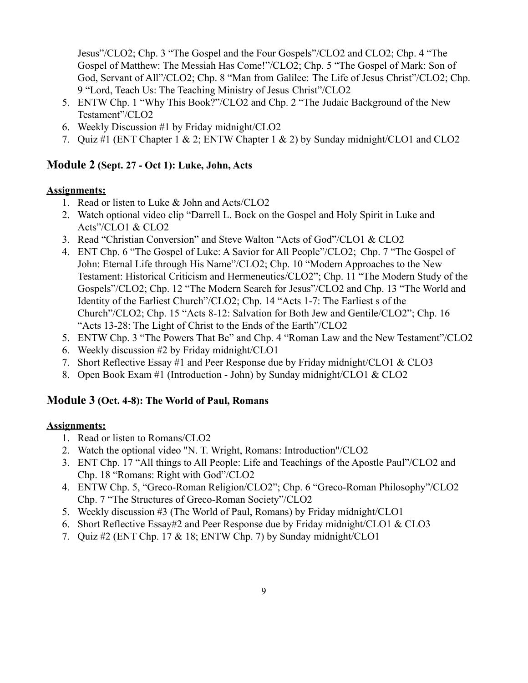Jesus"/CLO2; Chp. 3 "The Gospel and the Four Gospels"/CLO2 and CLO2; Chp. 4 "The Gospel of Matthew: The Messiah Has Come!"/CLO2; Chp. 5 "The Gospel of Mark: Son of God, Servant of All"/CLO2; Chp. 8 "Man from Galilee: The Life of Jesus Christ"/CLO2; Chp. 9 "Lord, Teach Us: The Teaching Ministry of Jesus Christ"/CLO2

- 5. ENTW Chp. 1 "Why This Book?"/CLO2 and Chp. 2 "The Judaic Background of the New Testament"/CLO2
- 6. Weekly Discussion #1 by Friday midnight/CLO2
- 7. Quiz #1 (ENT Chapter 1 & 2; ENTW Chapter 1 & 2) by Sunday midnight/CLO1 and CLO2

#### **Module 2 (Sept. 27 - Oct 1): Luke, John, Acts**

#### **Assignments:**

- 1. Read or listen to Luke & John and Acts/CLO2
- 2. Watch optional video clip "Darrell L. Bock on the Gospel and Holy Spirit in Luke and Acts"/CLO1 & CLO2
- 3. Read "Christian Conversion" and Steve Walton "Acts of God"/CLO1 & CLO2
- 4. ENT Chp. 6 "The Gospel of Luke: A Savior for All People"/CLO2; Chp. 7 "The Gospel of John: Eternal Life through His Name"/CLO2; Chp. 10 "Modern Approaches to the New Testament: Historical Criticism and Hermeneutics/CLO2"; Chp. 11 "The Modern Study of the Gospels"/CLO2; Chp. 12 "The Modern Search for Jesus"/CLO2 and Chp. 13 "The World and Identity of the Earliest Church"/CLO2; Chp. 14 "Acts 1-7: The Earliest s of the Church"/CLO2; Chp. 15 "Acts 8-12: Salvation for Both Jew and Gentile/CLO2"; Chp. 16 "Acts 13-28: The Light of Christ to the Ends of the Earth"/CLO2
- 5. ENTW Chp. 3 "The Powers That Be" and Chp. 4 "Roman Law and the New Testament"/CLO2
- 6. Weekly discussion #2 by Friday midnight/CLO1
- 7. Short Reflective Essay #1 and Peer Response due by Friday midnight/CLO1 & CLO3
- 8. Open Book Exam #1 (Introduction John) by Sunday midnight/CLO1 & CLO2

#### **Module 3 (Oct. 4-8): The World of Paul, Romans**

#### **Assignments:**

- 1. Read or listen to Romans/CLO2
- 2. Watch the optional video "N. T. Wright, Romans: Introduction"/CLO2
- 3. ENT Chp. 17 "All things to All People: Life and Teachings of the Apostle Paul"/CLO2 and Chp. 18 "Romans: Right with God"/CLO2
- 4. ENTW Chp. 5, "Greco-Roman Religion/CLO2"; Chp. 6 "Greco-Roman Philosophy"/CLO2 Chp. 7 "The Structures of Greco-Roman Society"/CLO2
- 5. Weekly discussion #3 (The World of Paul, Romans) by Friday midnight/CLO1
- 6. Short Reflective Essay#2 and Peer Response due by Friday midnight/CLO1 & CLO3
- 7. Quiz #2 (ENT Chp. 17 & 18; ENTW Chp. 7) by Sunday midnight/CLO1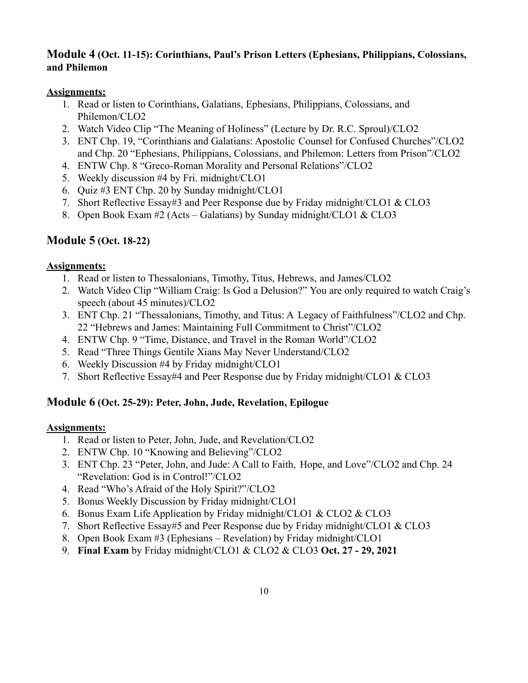#### **Module 4 (Oct. 11-15): Corinthians, Paul's Prison Letters (Ephesians, Philippians, Colossians, and Philemon**

#### **Assignments:**

- 1. Read or listen to Corinthians, Galatians, Ephesians, Philippians, Colossians, and Philemon/CLO2
- 2. Watch Video Clip "The Meaning of Holiness" (Lecture by Dr. R.C. Sproul)/CLO2
- 3. ENT Chp. 19, "Corinthians and Galatians: Apostolic Counsel for Confused Churches"/CLO2 and Chp. 20 "Ephesians, Philippians, Colossians, and Philemon: Letters from Prison"/CLO2
- 4. ENTW Chp. 8 "Greco-Roman Morality and Personal Relations"/CLO2
- 5. Weekly discussion #4 by Fri. midnight/CLO1
- 6. Quiz #3 ENT Chp. 20 by Sunday midnight/CLO1
- 7. Short Reflective Essay#3 and Peer Response due by Friday midnight/CLO1 & CLO3
- 8. Open Book Exam #2 (Acts Galatians) by Sunday midnight/CLO1 & CLO3

### **Module 5 (Oct. 18-22)**

#### **Assignments:**

- 1. Read or listen to Thessalonians, Timothy, Titus, Hebrews, and James/CLO2
- 2. Watch Video Clip "William Craig: Is God a Delusion?" You are only required to watch Craig's speech (about 45 minutes)/CLO2
- 3. ENT Chp. 21 "Thessalonians, Timothy, and Titus: A Legacy of Faithfulness"/CLO2 and Chp. 22 "Hebrews and James: Maintaining Full Commitment to Christ"/CLO2
- 4. ENTW Chp. 9 "Time, Distance, and Travel in the Roman World"/CLO2
- 5. Read "Three Things Gentile Xians May Never Understand/CLO2
- 6. Weekly Discussion #4 by Friday midnight/CLO1
- 7. Short Reflective Essay#4 and Peer Response due by Friday midnight/CLO1 & CLO3

#### **Module 6 (Oct. 25-29): Peter, John, Jude, Revelation, Epilogue**

#### **Assignments:**

- 1. Read or listen to Peter, John, Jude, and Revelation/CLO2
- 2. ENTW Chp. 10 "Knowing and Believing"/CLO2
- 3. ENT Chp. 23 "Peter, John, and Jude: A Call to Faith, Hope, and Love"/CLO2 and Chp. 24 "Revelation: God is in Control!"/CLO2
- 4. Read "Who's Afraid of the Holy Spirit?"/CLO2
- 5. Bonus Weekly Discussion by Friday midnight/CLO1
- 6. Bonus Exam Life Application by Friday midnight/CLO1 & CLO2 & CLO3
- 7. Short Reflective Essay#5 and Peer Response due by Friday midnight/CLO1 & CLO3
- 8. Open Book Exam #3 (Ephesians Revelation) by Friday midnight/CLO1
- 9. **Final Exam** by Friday midnight/CLO1 & CLO2 & CLO3 **Oct. 27 29, 2021**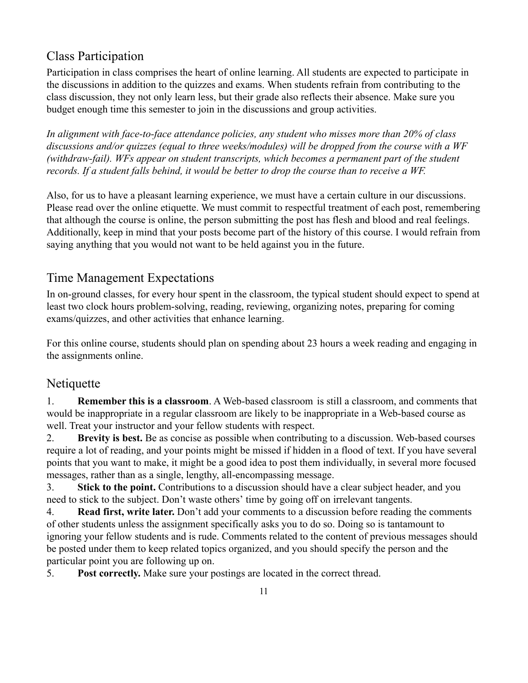# Class Participation

Participation in class comprises the heart of online learning. All students are expected to participate in the discussions in addition to the quizzes and exams. When students refrain from contributing to the class discussion, they not only learn less, but their grade also reflects their absence. Make sure you budget enough time this semester to join in the discussions and group activities.

*In alignment with face-to-face attendance policies, any student who misses more than 20% of class discussions and/or quizzes (equal to three weeks/modules) will be dropped from the course with a WF (withdraw-fail). WFs appear on student transcripts, which becomes a permanent part of the student records. If a student falls behind, it would be better to drop the course than to receive a WF.*

Also, for us to have a pleasant learning experience, we must have a certain culture in our discussions. Please read over the online etiquette. We must commit to respectful treatment of each post, remembering that although the course is online, the person submitting the post has flesh and blood and real feelings. Additionally, keep in mind that your posts become part of the history of this course. I would refrain from saying anything that you would not want to be held against you in the future.

## Time Management Expectations

In on-ground classes, for every hour spent in the classroom, the typical student should expect to spend at least two clock hours problem-solving, reading, reviewing, organizing notes, preparing for coming exams/quizzes, and other activities that enhance learning.

For this online course, students should plan on spending about 23 hours a week reading and engaging in the assignments online.

# Netiquette

1. **Remember this is a classroom**. A Web-based classroom is still a classroom, and comments that would be inappropriate in a regular classroom are likely to be inappropriate in a Web-based course as well. Treat your instructor and your fellow students with respect.

2. **Brevity is best.** Be as concise as possible when contributing to a discussion. Web-based courses require a lot of reading, and your points might be missed if hidden in a flood of text. If you have several points that you want to make, it might be a good idea to post them individually, in several more focused messages, rather than as a single, lengthy, all-encompassing message.

3. **Stick to the point.** Contributions to a discussion should have a clear subject header, and you need to stick to the subject. Don't waste others' time by going off on irrelevant tangents.

4. **Read first, write later.** Don't add your comments to a discussion before reading the comments of other students unless the assignment specifically asks you to do so. Doing so is tantamount to ignoring your fellow students and is rude. Comments related to the content of previous messages should be posted under them to keep related topics organized, and you should specify the person and the particular point you are following up on.

5. **Post correctly.** Make sure your postings are located in the correct thread.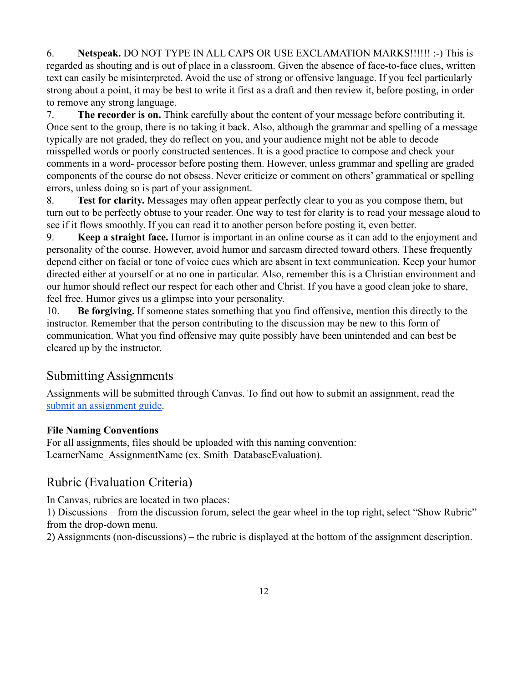6. **Netspeak.** DO NOT TYPE IN ALL CAPS OR USE EXCLAMATION MARKS!!!!!! :-) This is regarded as shouting and is out of place in a classroom. Given the absence of face-to-face clues, written text can easily be misinterpreted. Avoid the use of strong or offensive language. If you feel particularly strong about a point, it may be best to write it first as a draft and then review it, before posting, in order to remove any strong language.

7. **The recorder is on.** Think carefully about the content of your message before contributing it. Once sent to the group, there is no taking it back. Also, although the grammar and spelling of a message typically are not graded, they do reflect on you, and your audience might not be able to decode misspelled words or poorly constructed sentences. It is a good practice to compose and check your comments in a word- processor before posting them. However, unless grammar and spelling are graded components of the course do not obsess. Never criticize or comment on others' grammatical or spelling errors, unless doing so is part of your assignment.

8. **Test for clarity.** Messages may often appear perfectly clear to you as you compose them, but turn out to be perfectly obtuse to your reader. One way to test for clarity is to read your message aloud to see if it flows smoothly. If you can read it to another person before posting it, even better.

9. **Keep a straight face.** Humor is important in an online course as it can add to the enjoyment and personality of the course. However, avoid humor and sarcasm directed toward others. These frequently depend either on facial or tone of voice cues which are absent in text communication. Keep your humor directed either at yourself or at no one in particular. Also, remember this is a Christian environment and our humor should reflect our respect for each other and Christ. If you have a good clean joke to share, feel free. Humor gives us a glimpse into your personality.

10. **Be forgiving.** If someone states something that you find offensive, mention this directly to the instructor. Remember that the person contributing to the discussion may be new to this form of communication. What you find offensive may quite possibly have been unintended and can best be cleared up by the instructor.

# Submitting Assignments

Assignments will be submitted through Canvas. To find out how to submit an assignment, read th[e](https://community.canvaslms.com/t5/Student-Guide/How-do-I-submit-an-online-assignment/ta-p/503) [submit an assignment guide.](https://community.canvaslms.com/t5/Student-Guide/How-do-I-submit-an-online-assignment/ta-p/503)

#### **File Naming Conventions**

For all assignments, files should be uploaded with this naming convention: LearnerName AssignmentName (ex. Smith DatabaseEvaluation).

# Rubric (Evaluation Criteria)

In Canvas, rubrics are located in two places:

1) Discussions – from the discussion forum, select the gear wheel in the top right, select "Show Rubric" from the drop-down menu.

2) Assignments (non-discussions) – the rubric is displayed at the bottom of the assignment description.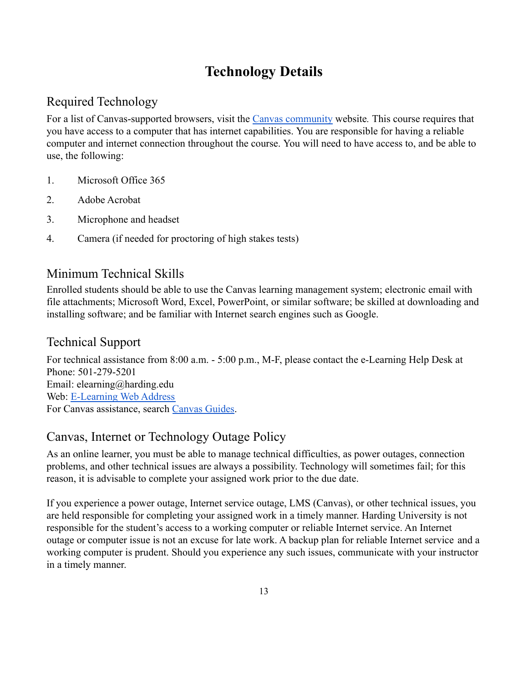# **Technology Details**

# Required Technology

For a list of Canvas-supported browsers, visit the [Canvas community](https://community.canvaslms.com/docs/doc-10720) website*.* This course requires that you have access to a computer that has internet capabilities. You are responsible for having a reliable computer and internet connection throughout the course. You will need to have access to, and be able to use, the following:

- 1. Microsoft Office 365
- 2. Adobe Acrobat
- 3. Microphone and headset
- 4. Camera (if needed for proctoring of high stakes tests)

## Minimum Technical Skills

Enrolled students should be able to use the Canvas learning management system; electronic email with file attachments; Microsoft Word, Excel, PowerPoint, or similar software; be skilled at downloading and installing software; and be familiar with Internet search engines such as Google.

### Technical Support

For technical assistance from 8:00 a.m. - 5:00 p.m., M-F, please contact the e-Learning Help Desk at Phone: 501-279-5201 Email: elearning@harding.edu Web: [E-Learning Web Address](http://www.harding.edu/elm) For Canvas assistance, search [Canvas Guides.](https://guides.instructure.com/m/8470)

# Canvas, Internet or Technology Outage Policy

As an online learner, you must be able to manage technical difficulties, as power outages, connection problems, and other technical issues are always a possibility. Technology will sometimes fail; for this reason, it is advisable to complete your assigned work prior to the due date.

If you experience a power outage, Internet service outage, LMS (Canvas), or other technical issues, you are held responsible for completing your assigned work in a timely manner. Harding University is not responsible for the student's access to a working computer or reliable Internet service. An Internet outage or computer issue is not an excuse for late work. A backup plan for reliable Internet service and a working computer is prudent. Should you experience any such issues, communicate with your instructor in a timely manner.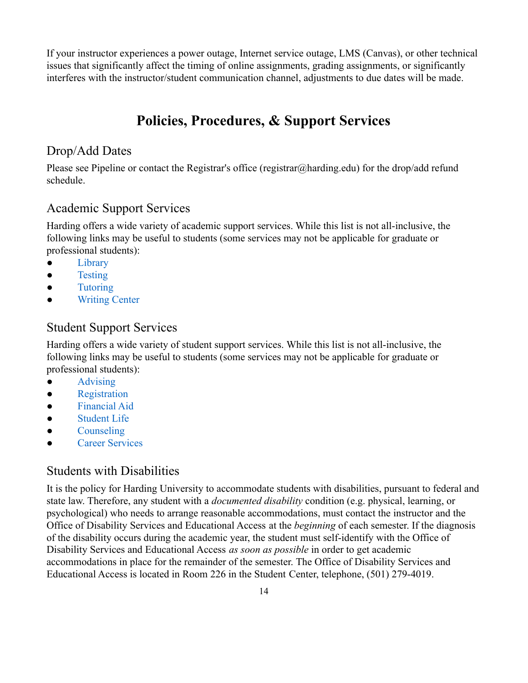If your instructor experiences a power outage, Internet service outage, LMS (Canvas), or other technical issues that significantly affect the timing of online assignments, grading assignments, or significantly interferes with the instructor/student communication channel, adjustments to due dates will be made.

# **Policies, Procedures, & Support Services**

### Drop/Add Dates

Please see Pipeline or contact the Registrar's office (registrar@harding.edu) for the drop/add refund schedule.

### Academic Support Services

Harding offers a wide variety of academic support services. While this list is not all-inclusive, the following links may be useful to students (some services may not be applicable for graduate or professional students):

- [Library](https://library.harding.edu/index)
- [Testing](https://www.harding.edu/testing)
- [Tutoring](https://www.harding.edu/academics/academic-support/arc)
- [Writing Center](https://www.harding.edu/academics/colleges-departments/arts-humanities/english/writing-lab)

#### Student Support Services

Harding offers a wide variety of student support services. While this list is not all-inclusive, the following links may be useful to students (some services may not be applicable for graduate or professional students):

- [Advising](https://catalog.harding.edu/preview_program.php?catoid=46&poid=6988&hl=%22advising%22&returnto=search)
- [Registration](https://www.harding.edu/registrar/registration)
- [Financial Aid](https://www.harding.edu/finaid)
- [Student Life](https://www.harding.edu/student-life)
- [Counseling](https://www.harding.edu/academics/academic-support/counseling-center)
- [Career Services](https://www.harding.edu/academics/academic-support/career)

### Students with Disabilities

It is the policy for Harding University to accommodate students with disabilities, pursuant to federal and state law. Therefore, any student with a *documented disability* condition (e.g. physical, learning, or psychological) who needs to arrange reasonable accommodations, must contact the instructor and the Office of Disability Services and Educational Access at the *beginning* of each semester. If the diagnosis of the disability occurs during the academic year, the student must self-identify with the Office of Disability Services and Educational Access *as soon as possible* in order to get academic accommodations in place for the remainder of the semester. The Office of Disability Services and Educational Access is located in Room 226 in the Student Center, telephone, (501) 279-4019.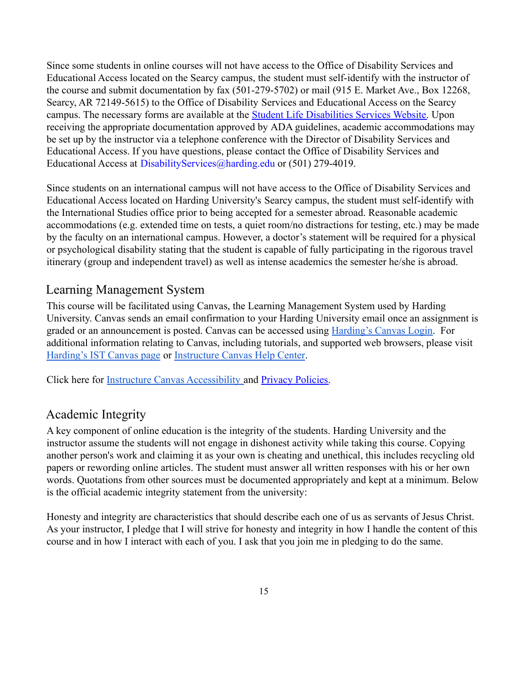Since some students in online courses will not have access to the Office of Disability Services and Educational Access located on the Searcy campus, the student must self-identify with the instructor of the course and submit documentation by fax (501-279-5702) or mail (915 E. Market Ave., Box 12268, Searcy, AR 72149-5615) to the Office of Disability Services and Educational Access on the Searcy campus. The necessary forms are available at the Student [Life Disabilities Services Website.](https://www.harding.edu/student-life/disabilityservices) Upon receiving the appropriate documentation approved by ADA guidelines, academic accommodations may be set up by the instructor via a telephone conference with the Director of Disability Services and Educational Access. If you have questions, please contact the Office of Disability Services and Educational Access at DisabilityServices@harding.edu or (501) 279-4019.

Since students on an international campus will not have access to the Office of Disability Services and Educational Access located on Harding University's Searcy campus, the student must self-identify with the International Studies office prior to being accepted for a semester abroad. Reasonable academic accommodations (e.g. extended time on tests, a quiet room/no distractions for testing, etc.) may be made by the faculty on an international campus. However, a doctor's statement will be required for a physical or psychological disability stating that the student is capable of fully participating in the rigorous travel itinerary (group and independent travel) as well as intense academics the semester he/she is abroad.

### Learning Management System

This course will be facilitated using Canvas, the Learning Management System used by Harding University. Canvas sends an email confirmation to your Harding University email once an assignment is graded or an announcement is posted. Canvas can be accessed using [Harding's Canvas Login.](https://harding.instructure.com/login) For additional information relating to Canvas, including tutorials, and supported web browsers, please visit [Harding's IST Canvas page](https://www.harding.edu/ist/canvas) or [Instructure Canvas Help](https://community.canvaslms.com/docs/DOC-10461-supported-web-browsers) Center.

Click here for [Instructure Canvas Accessibility](https://www.canvaslms.com/accessibility) and [Privacy Policies.](https://www.instructure.com/policies/privacy)

### Academic Integrity

A key component of online education is the integrity of the students. Harding University and the instructor assume the students will not engage in dishonest activity while taking this course. Copying another person's work and claiming it as your own is cheating and unethical, this includes recycling old papers or rewording online articles. The student must answer all written responses with his or her own words. Quotations from other sources must be documented appropriately and kept at a minimum. Below is the official academic integrity statement from the university:

Honesty and integrity are characteristics that should describe each one of us as servants of Jesus Christ. As your instructor, I pledge that I will strive for honesty and integrity in how I handle the content of this course and in how I interact with each of you. I ask that you join me in pledging to do the same.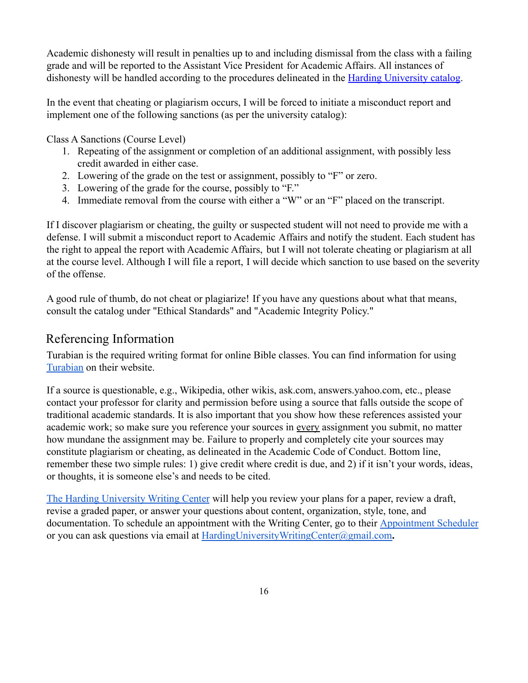Academic dishonesty will result in penalties up to and including dismissal from the class with a failing grade and will be reported to the Assistant Vice President for Academic Affairs. All instances of dishonesty will be handled according to the procedures delineated in the [Harding University catalog](https://catalog.harding.edu/content.php?catoid=46&navoid=3659).

In the event that cheating or plagiarism occurs, I will be forced to initiate a misconduct report and implement one of the following sanctions (as per the university catalog):

Class A Sanctions (Course Level)

- 1. Repeating of the assignment or completion of an additional assignment, with possibly less credit awarded in either case.
- 2. Lowering of the grade on the test or assignment, possibly to "F" or zero.
- 3. Lowering of the grade for the course, possibly to "F."
- 4. Immediate removal from the course with either a "W" or an "F" placed on the transcript.

If I discover plagiarism or cheating, the guilty or suspected student will not need to provide me with a defense. I will submit a misconduct report to Academic Affairs and notify the student. Each student has the right to appeal the report with Academic Affairs, but I will not tolerate cheating or plagiarism at all at the course level. Although I will file a report, I will decide which sanction to use based on the severity of the offense.

A good rule of thumb, do not cheat or plagiarize! If you have any questions about what that means, consult the catalog under "Ethical Standards" and "Academic Integrity Policy."

#### Referencing Information

Turabian is the required writing format for online Bible classes. You can find information for using [Turabian](https://www.chicagomanualofstyle.org/turabian/citation-guide.html) on their website.

If a source is questionable, e.g., Wikipedia, other wikis, ask.com, answers.yahoo.com, etc., please contact your professor for clarity and permission before using a source that falls outside the scope of traditional academic standards. It is also important that you show how these references assisted your academic work; so make sure you reference your sources in every assignment you submit, no matter how mundane the assignment may be. Failure to properly and completely cite your sources may constitute plagiarism or cheating, as delineated in the Academic Code of Conduct. Bottom line, remember these two simple rules: 1) give credit where credit is due, and 2) if it isn't your words, ideas, or thoughts, it is someone else's and needs to be cited.

[The Harding University Writing Center](https://www.harding.edu/academics/colleges-departments/arts-humanities/english/writing-lab) will help you review your plans for a paper, review a draft, revise a graded paper, or answer your questions about content, organization, style, tone, and documentation. To schedule an appointment with the Writing Center, go to their [Appointment Scheduler](https://harding.mywconline.com/) or you can ask questions via email at [HardingUniversityWritingCenter@gmail.com](mailto:HardingUniversityWritingCenter@gmail.com)**.**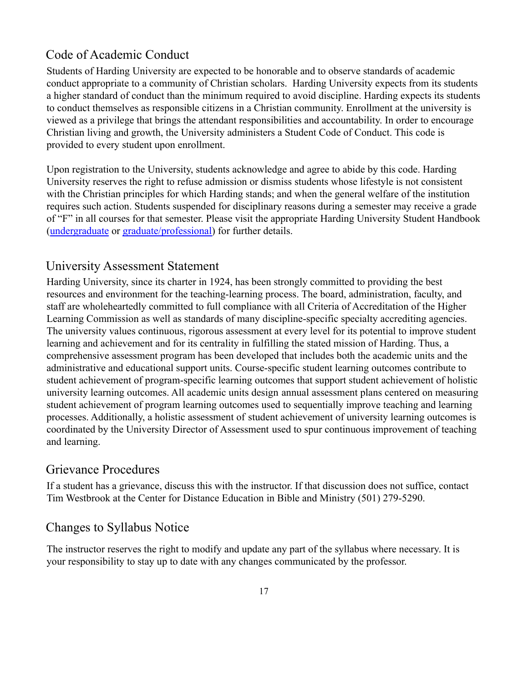### Code of Academic Conduct

Students of Harding University are expected to be honorable and to observe standards of academic conduct appropriate to a community of Christian scholars. Harding University expects from its students a higher standard of conduct than the minimum required to avoid discipline. Harding expects its students to conduct themselves as responsible citizens in a Christian community. Enrollment at the university is viewed as a privilege that brings the attendant responsibilities and accountability. In order to encourage Christian living and growth, the University administers a Student Code of Conduct. This code is provided to every student upon enrollment.

Upon registration to the University, students acknowledge and agree to abide by this code. Harding University reserves the right to refuse admission or dismiss students whose lifestyle is not consistent with the Christian principles for which Harding stands; and when the general welfare of the institution requires such action. Students suspended for disciplinary reasons during a semester may receive a grade of "F" in all courses for that semester. Please visit the appropriate Harding University Student Handbook ([undergraduate](https://www.harding.edu/assets/www/student-life/pdf/student_handbook.pdf) or [graduate/professional\)](https://www.harding.edu/assets/www/academics/colleges-departments/graduate-professional/pdf/graduateprofessional_handbook.pdf) for further details.

### University Assessment Statement

Harding University, since its charter in 1924, has been strongly committed to providing the best resources and environment for the teaching-learning process. The board, administration, faculty, and staff are wholeheartedly committed to full compliance with all Criteria of Accreditation of the Higher Learning Commission as well as standards of many discipline-specific specialty accrediting agencies. The university values continuous, rigorous assessment at every level for its potential to improve student learning and achievement and for its centrality in fulfilling the stated mission of Harding. Thus, a comprehensive assessment program has been developed that includes both the academic units and the administrative and educational support units. Course-specific student learning outcomes contribute to student achievement of program-specific learning outcomes that support student achievement of holistic university learning outcomes. All academic units design annual assessment plans centered on measuring student achievement of program learning outcomes used to sequentially improve teaching and learning processes. Additionally, a holistic assessment of student achievement of university learning outcomes is coordinated by the University Director of Assessment used to spur continuous improvement of teaching and learning.

### Grievance Procedures

If a student has a grievance, discuss this with the instructor. If that discussion does not suffice, contact Tim Westbrook at the Center for Distance Education in Bible and Ministry (501) 279-5290.

## Changes to Syllabus Notice

The instructor reserves the right to modify and update any part of the syllabus where necessary. It is your responsibility to stay up to date with any changes communicated by the professor.